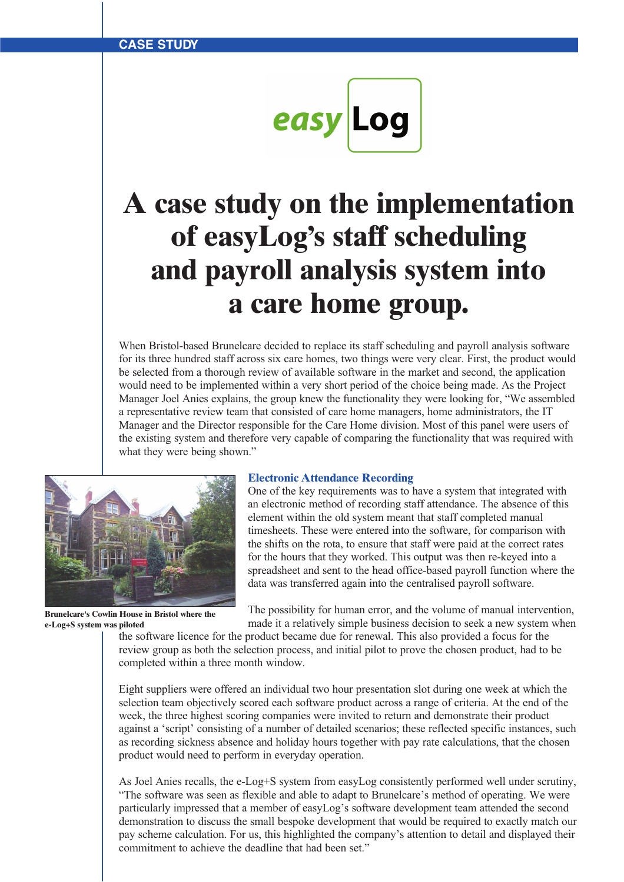easy Log

# **A case study on the implementation of easyLog's staff scheduling and payroll analysis system into a care home group.**

When Bristol-based Brunelcare decided to replace its staff scheduling and payroll analysis software for its three hundred staff across six care homes, two things were very clear. First, the product would be selected from a thorough review of available software in the market and second, the application would need to be implemented within a very short period of the choice being made. As the Project Manager Joel Anies explains, the group knew the functionality they were looking for, "We assembled a representative review team that consisted of care home managers, home administrators, the IT Manager and the Director responsible for the Care Home division. Most of this panel were users of the existing system and therefore very capable of comparing the functionality that was required with what they were being shown."



**Brunelcare's Cowlin House in Bristol where the e-Log+S system was piloted**

### **Electronic Attendance Recording**

One of the key requirements was to have a system that integrated with an electronic method of recording staff attendance. The absence of this element within the old system meant that staff completed manual timesheets. These were entered into the software, for comparison with the shifts on the rota, to ensure that staff were paid at the correct rates for the hours that they worked. This output was then re-keyed into a spreadsheet and sent to the head office-based payroll function where the data was transferred again into the centralised payroll software.

The possibility for human error, and the volume of manual intervention, made it a relatively simple business decision to seek a new system when

the software licence for the product became due for renewal. This also provided a focus for the review group as both the selection process, and initial pilot to prove the chosen product, had to be completed within a three month window.

Eight suppliers were offered an individual two hour presentation slot during one week at which the selection team objectively scored each software product across a range of criteria. At the end of the week, the three highest scoring companies were invited to return and demonstrate their product against a 'script' consisting of a number of detailed scenarios; these reflected specific instances, such as recording sickness absence and holiday hours together with pay rate calculations, that the chosen product would need to perform in everyday operation.

As Joel Anies recalls, the e-Log+S system from easyLog consistently performed well under scrutiny, "The software was seen as flexible and able to adapt to Brunelcare's method of operating. We were particularly impressed that a member of easyLog's software development team attended the second demonstration to discuss the small bespoke development that would be required to exactly match our pay scheme calculation. For us, this highlighted the company's attention to detail and displayed their commitment to achieve the deadline that had been set."